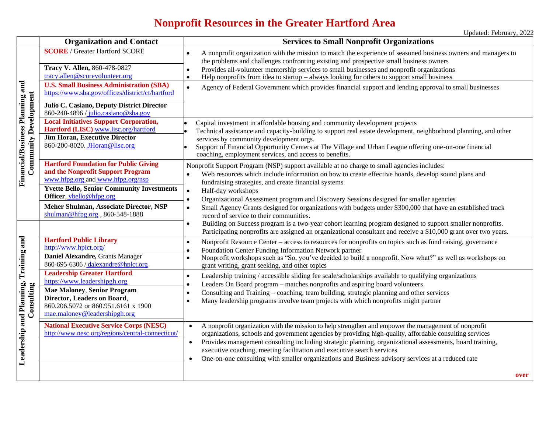## **Nonprofit Resources in the Greater Hartford Area**

|                                                                 | <b>Organization and Contact</b>                                                                                                                                                                                                                                                                                                                      | <b>Services to Small Nonprofit Organizations</b>                                                                                                                                                                                                                                                                                                                                                                                                                                                                                                                                                                                                                                                                                                                                                                      |  |
|-----------------------------------------------------------------|------------------------------------------------------------------------------------------------------------------------------------------------------------------------------------------------------------------------------------------------------------------------------------------------------------------------------------------------------|-----------------------------------------------------------------------------------------------------------------------------------------------------------------------------------------------------------------------------------------------------------------------------------------------------------------------------------------------------------------------------------------------------------------------------------------------------------------------------------------------------------------------------------------------------------------------------------------------------------------------------------------------------------------------------------------------------------------------------------------------------------------------------------------------------------------------|--|
| Financial/Business Planning and<br><b>Community Development</b> | <b>SCORE</b> / Greater Hartford SCORE<br>Tracy V. Allen, 860-478-0827<br>tracy.allen@scorevolunteer.org<br><b>U.S. Small Business Administration (SBA)</b><br>https://www.sba.gov/offices/district/ct/hartford                                                                                                                                       | A nonprofit organization with the mission to match the experience of seasoned business owners and managers to<br>$\bullet$<br>the problems and challenges confronting existing and prospective small business owners<br>Provides all-volunteer mentorship services to small businesses and nonprofit organizations<br>$\bullet$<br>Help nonprofits from idea to startup $-$ always looking for others to support small business<br>$\bullet$<br>Agency of Federal Government which provides financial support and lending approval to small businesses<br>$\bullet$                                                                                                                                                                                                                                                   |  |
|                                                                 | Julio C. Casiano, Deputy District Director<br>860-240-4896 / julio.casiano@sba.gov<br><b>Local Initiatives Support Corporation,</b><br>Hartford (LISC) www.lisc.org/hartford<br><b>Jim Horan, Executive Director</b><br>860-200-8020. Horan@lisc.org                                                                                                 | Capital investment in affordable housing and community development projects<br>Technical assistance and capacity-building to support real estate development, neighborhood planning, and other<br>services by community development orgs.<br>Support of Financial Opportunity Centers at The Village and Urban League offering one-on-one financial<br>coaching, employment services, and access to benefits.                                                                                                                                                                                                                                                                                                                                                                                                         |  |
|                                                                 | <b>Hartford Foundation for Public Giving</b><br>and the Nonprofit Support Program<br>www.hfpg.org and www.hfpg.org/nsp<br><b>Yvette Bello, Senior Community Investments</b><br>Officer, ybello@hfpg.org<br>Meher Shulman, Associate Director, NSP<br>shulman@hfpg.org, 860-548-1888                                                                  | Nonprofit Support Program (NSP) support available at no charge to small agencies includes:<br>Web resources which include information on how to create effective boards, develop sound plans and<br>fundraising strategies, and create financial systems<br>Half-day workshops<br>$\bullet$<br>Organizational Assessment program and Discovery Sessions designed for smaller agencies<br>$\bullet$<br>Small Agency Grants designed for organizations with budgets under \$300,000 that have an established track<br>$\bullet$<br>record of service to their communities.<br>Building on Success program is a two-year cohort learning program designed to support smaller nonprofits.<br>$\bullet$<br>Participating nonprofits are assigned an organizational consultant and receive a \$10,000 grant over two years. |  |
| Leadership and Planning, Training and<br>Consulting             | <b>Hartford Public Library</b><br>http://www.hplct.org/<br>Daniel Alexandre, Grants Manager<br>860-695-6306 / dalexandre@hplct.org<br><b>Leadership Greater Hartford</b><br>https://www.leadershipgh.org<br><b>Mae Maloney, Senior Program</b><br>Director, Leaders on Board,<br>860.206.5072 or 860.951.6161 x 1900<br>mae.maloney@leadershipgh.org | Nonprofit Resource Center – access to resources for nonprofits on topics such as fund raising, governance<br>$\bullet$<br>Foundation Center Funding Information Network partner<br>$\bullet$<br>Nonprofit workshops such as "So, you've decided to build a nonprofit. Now what?" as well as workshops on<br>$\bullet$<br>grant writing, grant seeking, and other topics<br>Leadership training / accessible sliding fee scale/scholarships available to qualifying organizations<br>$\bullet$<br>Leaders On Board program – matches nonprofits and aspiring board volunteers<br>$\bullet$<br>Consulting and Training – coaching, team building, strategic planning and other services<br>Many leadership programs involve team projects with which nonprofits might partner<br>$\bullet$                              |  |
|                                                                 | <b>National Executive Service Corps (NESC)</b><br>http://www.nesc.org/regions/central-connecticut/                                                                                                                                                                                                                                                   | A nonprofit organization with the mission to help strengthen and empower the management of nonprofit<br>$\bullet$<br>organizations, schools and government agencies by providing high-quality, affordable consulting services<br>Provides management consulting including strategic planning, organizational assessments, board training,<br>$\bullet$<br>executive coaching, meeting facilitation and executive search services<br>One-on-one consulting with smaller organizations and Business advisory services at a reduced rate<br>٠<br>over                                                                                                                                                                                                                                                                    |  |